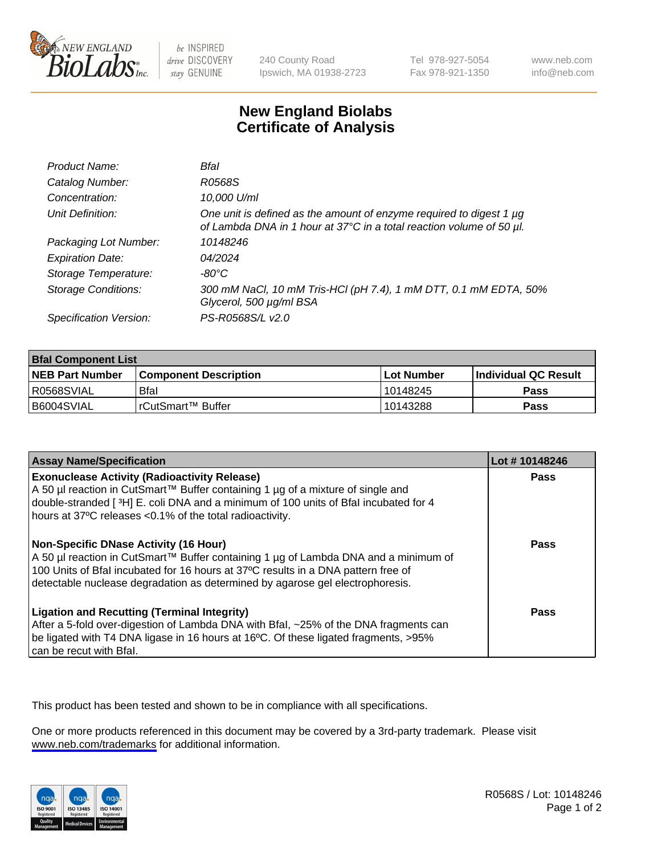

be INSPIRED drive DISCOVERY stay GENUINE

240 County Road Ipswich, MA 01938-2723 Tel 978-927-5054 Fax 978-921-1350

www.neb.com info@neb.com

## **New England Biolabs Certificate of Analysis**

| Product Name:              | Bfal                                                                                                                                        |
|----------------------------|---------------------------------------------------------------------------------------------------------------------------------------------|
| Catalog Number:            | R0568S                                                                                                                                      |
| Concentration:             | 10,000 U/ml                                                                                                                                 |
| Unit Definition:           | One unit is defined as the amount of enzyme required to digest 1 µg<br>of Lambda DNA in 1 hour at 37°C in a total reaction volume of 50 µl. |
| Packaging Lot Number:      | 10148246                                                                                                                                    |
| <b>Expiration Date:</b>    | 04/2024                                                                                                                                     |
| Storage Temperature:       | -80°C                                                                                                                                       |
| <b>Storage Conditions:</b> | 300 mM NaCl, 10 mM Tris-HCl (pH 7.4), 1 mM DTT, 0.1 mM EDTA, 50%<br>Glycerol, 500 µg/ml BSA                                                 |
| Specification Version:     | PS-R0568S/L v2.0                                                                                                                            |

| <b>Bfal Component List</b> |                         |              |                             |  |
|----------------------------|-------------------------|--------------|-----------------------------|--|
| <b>NEB Part Number</b>     | l Component Description | l Lot Number | <b>Individual QC Result</b> |  |
| I R0568SVIAL               | <b>Bfal</b>             | 10148245     | Pass                        |  |
| B6004SVIAL                 | l rCutSmart™ Buffer_    | 10143288     | Pass                        |  |

| <b>Assay Name/Specification</b>                                                                                                                                                                                                                                                                    | Lot #10148246 |
|----------------------------------------------------------------------------------------------------------------------------------------------------------------------------------------------------------------------------------------------------------------------------------------------------|---------------|
| <b>Exonuclease Activity (Radioactivity Release)</b><br>A 50 µl reaction in CutSmart™ Buffer containing 1 µg of a mixture of single and<br>double-stranded [3H] E. coli DNA and a minimum of 100 units of Bfal incubated for 4<br>hours at 37°C releases <0.1% of the total radioactivity.          | Pass          |
| Non-Specific DNase Activity (16 Hour)<br>A 50 µl reaction in CutSmart™ Buffer containing 1 µg of Lambda DNA and a minimum of<br>100 Units of Bfal incubated for 16 hours at 37°C results in a DNA pattern free of<br>detectable nuclease degradation as determined by agarose gel electrophoresis. | <b>Pass</b>   |
| <b>Ligation and Recutting (Terminal Integrity)</b><br>After a 5-fold over-digestion of Lambda DNA with Bfal, ~25% of the DNA fragments can<br>be ligated with T4 DNA ligase in 16 hours at 16°C. Of these ligated fragments, >95%<br>can be recut with Bfal.                                       | Pass          |

This product has been tested and shown to be in compliance with all specifications.

One or more products referenced in this document may be covered by a 3rd-party trademark. Please visit <www.neb.com/trademarks>for additional information.